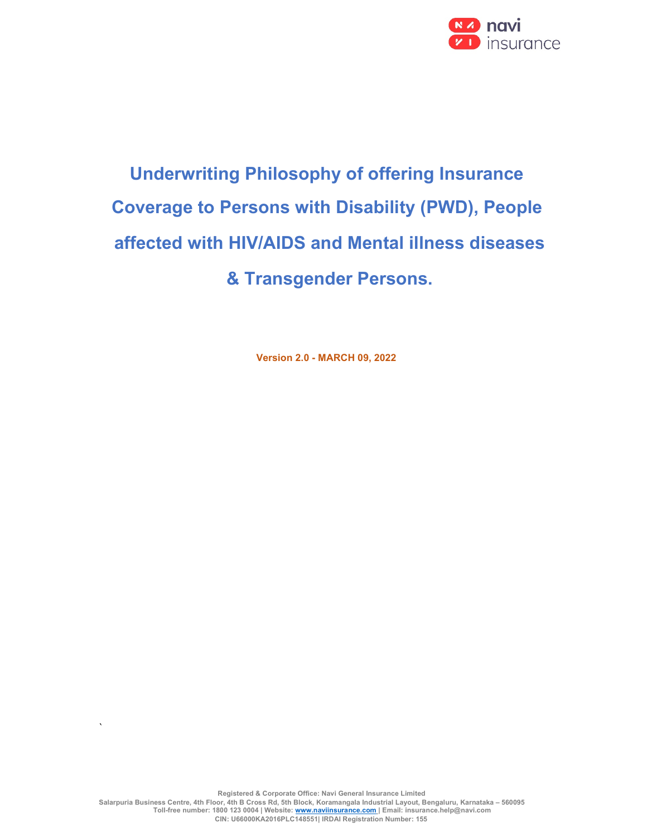

# Underwriting Philosophy of offering Insurance Coverage to Persons with Disability (PWD), People affected with HIV/AIDS and Mental illness diseases & Transgender Persons.

Version 2.0 - MARCH 09, 2022

 $\overline{\phantom{a}}$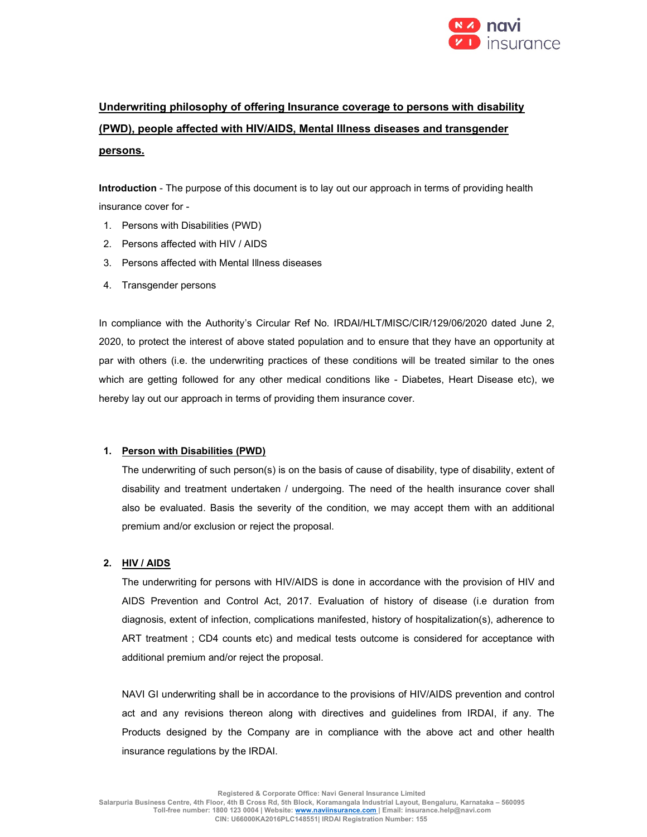

# Underwriting philosophy of offering Insurance coverage to persons with disability (PWD), people affected with HIV/AIDS, Mental Illness diseases and transgender persons.

Introduction - The purpose of this document is to lay out our approach in terms of providing health insurance cover for -

- 1. Persons with Disabilities (PWD)
- 2. Persons affected with HIV / AIDS
- 3. Persons affected with Mental Illness diseases
- 4. Transgender persons

In compliance with the Authority's Circular Ref No. IRDAI/HLT/MISC/CIR/129/06/2020 dated June 2, 2020, to protect the interest of above stated population and to ensure that they have an opportunity at par with others (i.e. the underwriting practices of these conditions will be treated similar to the ones which are getting followed for any other medical conditions like - Diabetes, Heart Disease etc), we hereby lay out our approach in terms of providing them insurance cover.

## 1. Person with Disabilities (PWD)

The underwriting of such person(s) is on the basis of cause of disability, type of disability, extent of disability and treatment undertaken / undergoing. The need of the health insurance cover shall also be evaluated. Basis the severity of the condition, we may accept them with an additional premium and/or exclusion or reject the proposal.

#### 2. HIV / AIDS

The underwriting for persons with HIV/AIDS is done in accordance with the provision of HIV and AIDS Prevention and Control Act, 2017. Evaluation of history of disease (i.e duration from diagnosis, extent of infection, complications manifested, history of hospitalization(s), adherence to ART treatment ; CD4 counts etc) and medical tests outcome is considered for acceptance with additional premium and/or reject the proposal.

NAVI GI underwriting shall be in accordance to the provisions of HIV/AIDS prevention and control act and any revisions thereon along with directives and guidelines from IRDAI, if any. The Products designed by the Company are in compliance with the above act and other health insurance regulations by the IRDAI.

Registered & Corporate Office: Navi General Insurance Limited